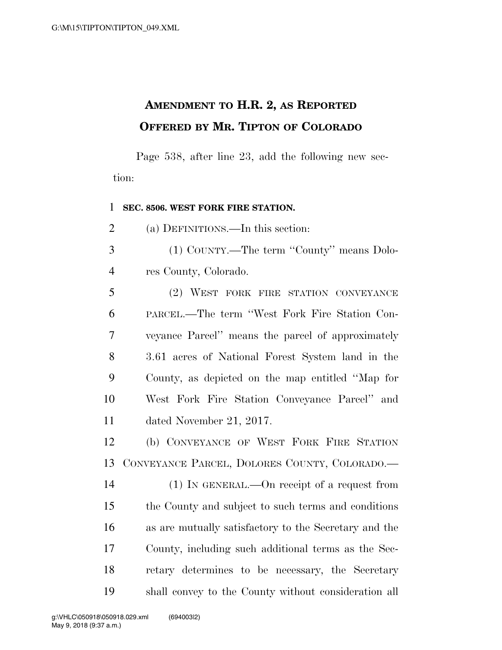## **AMENDMENT TO H.R. 2, AS REPORTED OFFERED BY MR. TIPTON OF COLORADO**

Page 538, after line 23, add the following new section:

## **SEC. 8506. WEST FORK FIRE STATION.**

(a) DEFINITIONS.—In this section:

 (1) COUNTY.—The term ''County'' means Dolo-res County, Colorado.

 (2) WEST FORK FIRE STATION CONVEYANCE PARCEL.—The term ''West Fork Fire Station Con- veyance Parcel'' means the parcel of approximately 3.61 acres of National Forest System land in the County, as depicted on the map entitled ''Map for West Fork Fire Station Conveyance Parcel'' and dated November 21, 2017.

 (b) CONVEYANCE OF WEST FORK FIRE STATION CONVEYANCE PARCEL, DOLORES COUNTY, COLORADO.—

 (1) IN GENERAL.—On receipt of a request from the County and subject to such terms and conditions as are mutually satisfactory to the Secretary and the County, including such additional terms as the Sec- retary determines to be necessary, the Secretary shall convey to the County without consideration all